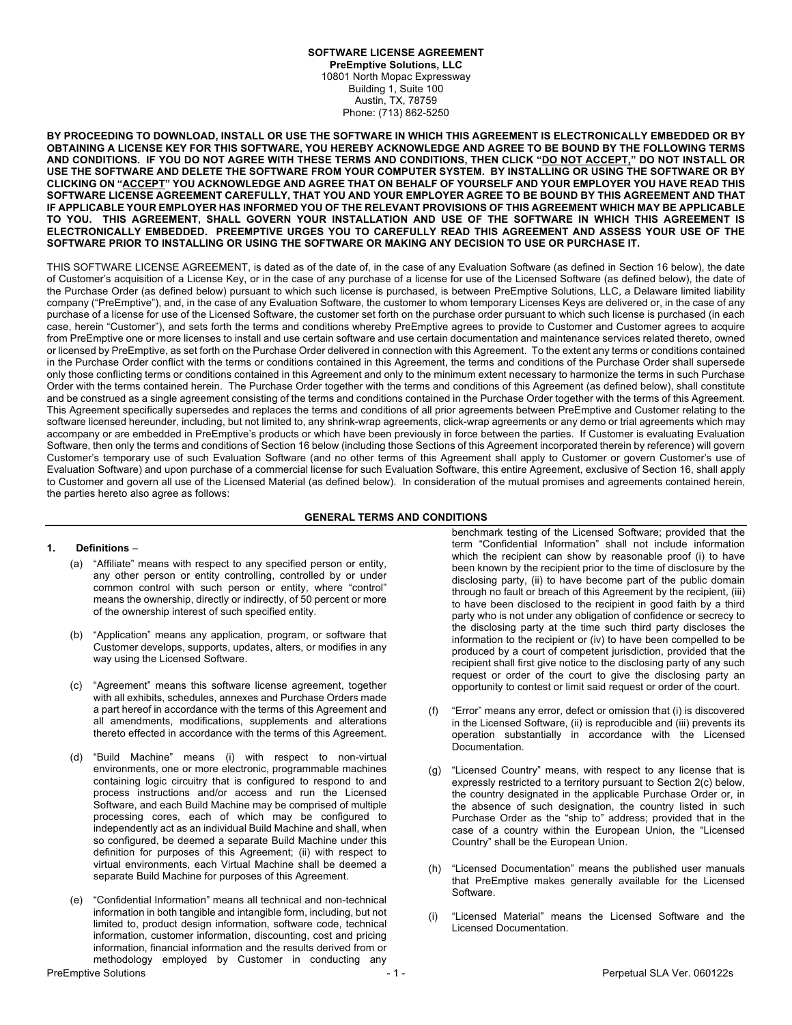# **SOFTWARE LICENSE AGREEMENT**

**PreEmptive Solutions, LLC** 10801 North Mopac Expressway Building 1, Suite 100 Austin, TX, 78759 Phone: (713) 862-5250

**BY PROCEEDING TO DOWNLOAD, INSTALL OR USE THE SOFTWARE IN WHICH THIS AGREEMENT IS ELECTRONICALLY EMBEDDED OR BY OBTAINING A LICENSE KEY FOR THIS SOFTWARE, YOU HEREBY ACKNOWLEDGE AND AGREE TO BE BOUND BY THE FOLLOWING TERMS AND CONDITIONS. IF YOU DO NOT AGREE WITH THESE TERMS AND CONDITIONS, THEN CLICK "DO NOT ACCEPT," DO NOT INSTALL OR USE THE SOFTWARE AND DELETE THE SOFTWARE FROM YOUR COMPUTER SYSTEM. BY INSTALLING OR USING THE SOFTWARE OR BY CLICKING ON "ACCEPT" YOU ACKNOWLEDGE AND AGREE THAT ON BEHALF OF YOURSELF AND YOUR EMPLOYER YOU HAVE READ THIS SOFTWARE LICENSE AGREEMENT CAREFULLY, THAT YOU AND YOUR EMPLOYER AGREE TO BE BOUND BY THIS AGREEMENT AND THAT IF APPLICABLE YOUR EMPLOYER HAS INFORMED YOU OF THE RELEVANT PROVISIONS OF THIS AGREEMENT WHICH MAY BE APPLICABLE TO YOU. THIS AGREEMENT, SHALL GOVERN YOUR INSTALLATION AND USE OF THE SOFTWARE IN WHICH THIS AGREEMENT IS ELECTRONICALLY EMBEDDED. PREEMPTIVE URGES YOU TO CAREFULLY READ THIS AGREEMENT AND ASSESS YOUR USE OF THE SOFTWARE PRIOR TO INSTALLING OR USING THE SOFTWARE OR MAKING ANY DECISION TO USE OR PURCHASE IT.**

THIS SOFTWARE LICENSE AGREEMENT, is dated as of the date of, in the case of any Evaluation Software (as defined in Section 16 below), the date of Customer's acquisition of a License Key, or in the case of any purchase of a license for use of the Licensed Software (as defined below), the date of the Purchase Order (as defined below) pursuant to which such license is purchased, is between PreEmptive Solutions, LLC, a Delaware limited liability company ("PreEmptive"), and, in the case of any Evaluation Software, the customer to whom temporary Licenses Keys are delivered or, in the case of any purchase of a license for use of the Licensed Software, the customer set forth on the purchase order pursuant to which such license is purchased (in each case, herein "Customer"), and sets forth the terms and conditions whereby PreEmptive agrees to provide to Customer and Customer agrees to acquire from PreEmptive one or more licenses to install and use certain software and use certain documentation and maintenance services related thereto, owned or licensed by PreEmptive, as set forth on the Purchase Order delivered in connection with this Agreement. To the extent any terms or conditions contained in the Purchase Order conflict with the terms or conditions contained in this Agreement, the terms and conditions of the Purchase Order shall supersede only those conflicting terms or conditions contained in this Agreement and only to the minimum extent necessary to harmonize the terms in such Purchase Order with the terms contained herein. The Purchase Order together with the terms and conditions of this Agreement (as defined below), shall constitute and be construed as a single agreement consisting of the terms and conditions contained in the Purchase Order together with the terms of this Agreement. This Agreement specifically supersedes and replaces the terms and conditions of all prior agreements between PreEmptive and Customer relating to the software licensed hereunder, including, but not limited to, any shrink-wrap agreements, click-wrap agreements or any demo or trial agreements which may accompany or are embedded in PreEmptive's products or which have been previously in force between the parties. If Customer is evaluating Evaluation Software, then only the terms and conditions of Section 16 below (including those Sections of this Agreement incorporated therein by reference) will govern Customer's temporary use of such Evaluation Software (and no other terms of this Agreement shall apply to Customer or govern Customer's use of Evaluation Software) and upon purchase of a commercial license for such Evaluation Software, this entire Agreement, exclusive of Section 16, shall apply to Customer and govern all use of the Licensed Material (as defined below). In consideration of the mutual promises and agreements contained herein, the parties hereto also agree as follows:

#### **GENERAL TERMS AND CONDITIONS**

#### **1. Definitions** –

- (a) "Affiliate" means with respect to any specified person or entity, any other person or entity controlling, controlled by or under common control with such person or entity, where "control" means the ownership, directly or indirectly, of 50 percent or more of the ownership interest of such specified entity.
- (b) "Application" means any application, program, or software that Customer develops, supports, updates, alters, or modifies in any way using the Licensed Software.
- (c) "Agreement" means this software license agreement, together with all exhibits, schedules, annexes and Purchase Orders made a part hereof in accordance with the terms of this Agreement and all amendments, modifications, supplements and alterations thereto effected in accordance with the terms of this Agreement.
- (d) "Build Machine" means (i) with respect to non-virtual environments, one or more electronic, programmable machines containing logic circuitry that is configured to respond to and process instructions and/or access and run the Licensed Software, and each Build Machine may be comprised of multiple processing cores, each of which may be configured to independently act as an individual Build Machine and shall, when so configured, be deemed a separate Build Machine under this definition for purposes of this Agreement; (ii) with respect to virtual environments, each Virtual Machine shall be deemed a separate Build Machine for purposes of this Agreement.
- (e) "Confidential Information" means all technical and non-technical information in both tangible and intangible form, including, but not limited to, product design information, software code, technical information, customer information, discounting, cost and pricing information, financial information and the results derived from or methodology employed by Customer in conducting any

benchmark testing of the Licensed Software; provided that the term "Confidential Information" shall not include information which the recipient can show by reasonable proof (i) to have been known by the recipient prior to the time of disclosure by the disclosing party, (ii) to have become part of the public domain through no fault or breach of this Agreement by the recipient, (iii) to have been disclosed to the recipient in good faith by a third party who is not under any obligation of confidence or secrecy to the disclosing party at the time such third party discloses the information to the recipient or (iv) to have been compelled to be produced by a court of competent jurisdiction, provided that the recipient shall first give notice to the disclosing party of any such request or order of the court to give the disclosing party an opportunity to contest or limit said request or order of the court.

- (f) "Error" means any error, defect or omission that (i) is discovered in the Licensed Software, (ii) is reproducible and (iii) prevents its operation substantially in accordance with the Licensed Documentation.
- (g) "Licensed Country" means, with respect to any license that is expressly restricted to a territory pursuant to Section 2(c) below, the country designated in the applicable Purchase Order or, in the absence of such designation, the country listed in such Purchase Order as the "ship to" address; provided that in the case of a country within the European Union, the "Licensed Country" shall be the European Union.
- (h) "Licensed Documentation" means the published user manuals that PreEmptive makes generally available for the Licensed Software.
- (i) "Licensed Material" means the Licensed Software and the Licensed Documentation.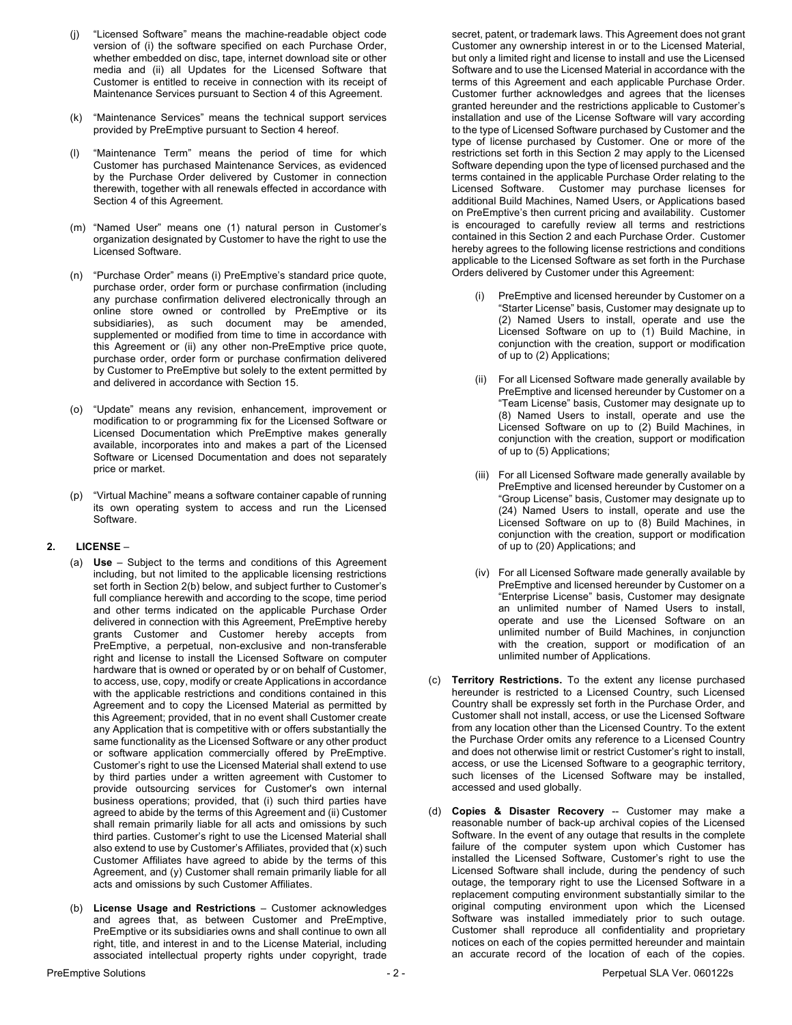- (j) "Licensed Software" means the machine-readable object code version of (i) the software specified on each Purchase Order, whether embedded on disc, tape, internet download site or other media and (ii) all Updates for the Licensed Software that Customer is entitled to receive in connection with its receipt of Maintenance Services pursuant to Section 4 of this Agreement.
- (k) "Maintenance Services" means the technical support services provided by PreEmptive pursuant to Section 4 hereof.
- (l) "Maintenance Term" means the period of time for which Customer has purchased Maintenance Services, as evidenced by the Purchase Order delivered by Customer in connection therewith, together with all renewals effected in accordance with Section 4 of this Agreement.
- (m) "Named User" means one (1) natural person in Customer's organization designated by Customer to have the right to use the Licensed Software.
- (n) "Purchase Order" means (i) PreEmptive's standard price quote, purchase order, order form or purchase confirmation (including any purchase confirmation delivered electronically through an online store owned or controlled by PreEmptive or its subsidiaries), as such document may be amended, supplemented or modified from time to time in accordance with this Agreement or (ii) any other non-PreEmptive price quote, purchase order, order form or purchase confirmation delivered by Customer to PreEmptive but solely to the extent permitted by and delivered in accordance with Section 15.
- (o) "Update" means any revision, enhancement, improvement or modification to or programming fix for the Licensed Software or Licensed Documentation which PreEmptive makes generally available, incorporates into and makes a part of the Licensed Software or Licensed Documentation and does not separately price or market.
- (p) "Virtual Machine" means a software container capable of running its own operating system to access and run the Licensed Software.

#### **2. LICENSE** –

- (a) **Use** Subject to the terms and conditions of this Agreement including, but not limited to the applicable licensing restrictions set forth in Section 2(b) below, and subject further to Customer's full compliance herewith and according to the scope, time period and other terms indicated on the applicable Purchase Order delivered in connection with this Agreement, PreEmptive hereby grants Customer and Customer hereby accepts from PreEmptive, a perpetual, non-exclusive and non-transferable right and license to install the Licensed Software on computer hardware that is owned or operated by or on behalf of Customer, to access, use, copy, modify or create Applications in accordance with the applicable restrictions and conditions contained in this Agreement and to copy the Licensed Material as permitted by this Agreement; provided, that in no event shall Customer create any Application that is competitive with or offers substantially the same functionality as the Licensed Software or any other product or software application commercially offered by PreEmptive. Customer's right to use the Licensed Material shall extend to use by third parties under a written agreement with Customer to provide outsourcing services for Customer's own internal business operations; provided, that (i) such third parties have agreed to abide by the terms of this Agreement and (ii) Customer shall remain primarily liable for all acts and omissions by such third parties. Customer's right to use the Licensed Material shall also extend to use by Customer's Affiliates, provided that (x) such Customer Affiliates have agreed to abide by the terms of this Agreement, and (y) Customer shall remain primarily liable for all acts and omissions by such Customer Affiliates.
- (b) **License Usage and Restrictions** Customer acknowledges and agrees that, as between Customer and PreEmptive, PreEmptive or its subsidiaries owns and shall continue to own all right, title, and interest in and to the License Material, including associated intellectual property rights under copyright, trade

secret, patent, or trademark laws. This Agreement does not grant Customer any ownership interest in or to the Licensed Material, but only a limited right and license to install and use the Licensed Software and to use the Licensed Material in accordance with the terms of this Agreement and each applicable Purchase Order. Customer further acknowledges and agrees that the licenses granted hereunder and the restrictions applicable to Customer's installation and use of the License Software will vary according to the type of Licensed Software purchased by Customer and the type of license purchased by Customer. One or more of the restrictions set forth in this Section 2 may apply to the Licensed Software depending upon the type of licensed purchased and the terms contained in the applicable Purchase Order relating to the Licensed Software. Customer may purchase licenses for additional Build Machines, Named Users, or Applications based on PreEmptive's then current pricing and availability. Customer is encouraged to carefully review all terms and restrictions contained in this Section 2 and each Purchase Order. Customer hereby agrees to the following license restrictions and conditions applicable to the Licensed Software as set forth in the Purchase Orders delivered by Customer under this Agreement:

- PreEmptive and licensed hereunder by Customer on a "Starter License" basis, Customer may designate up to (2) Named Users to install, operate and use the Licensed Software on up to (1) Build Machine, in conjunction with the creation, support or modification of up to (2) Applications;
- (ii) For all Licensed Software made generally available by PreEmptive and licensed hereunder by Customer on a "Team License" basis, Customer may designate up to (8) Named Users to install, operate and use the Licensed Software on up to (2) Build Machines, in conjunction with the creation, support or modification of up to (5) Applications;
- (iii) For all Licensed Software made generally available by PreEmptive and licensed hereunder by Customer on a "Group License" basis, Customer may designate up to (24) Named Users to install, operate and use the Licensed Software on up to (8) Build Machines, in conjunction with the creation, support or modification of up to (20) Applications; and
- (iv) For all Licensed Software made generally available by PreEmptive and licensed hereunder by Customer on a "Enterprise License" basis, Customer may designate an unlimited number of Named Users to install, operate and use the Licensed Software on an unlimited number of Build Machines, in conjunction with the creation, support or modification of an unlimited number of Applications.
- (c) **Territory Restrictions.** To the extent any license purchased hereunder is restricted to a Licensed Country, such Licensed Country shall be expressly set forth in the Purchase Order, and Customer shall not install, access, or use the Licensed Software from any location other than the Licensed Country. To the extent the Purchase Order omits any reference to a Licensed Country and does not otherwise limit or restrict Customer's right to install, access, or use the Licensed Software to a geographic territory, such licenses of the Licensed Software may be installed, accessed and used globally.
- (d) **Copies & Disaster Recovery** -- Customer may make a reasonable number of back-up archival copies of the Licensed Software. In the event of any outage that results in the complete failure of the computer system upon which Customer has installed the Licensed Software, Customer's right to use the Licensed Software shall include, during the pendency of such outage, the temporary right to use the Licensed Software in a replacement computing environment substantially similar to the original computing environment upon which the Licensed Software was installed immediately prior to such outage. Customer shall reproduce all confidentiality and proprietary notices on each of the copies permitted hereunder and maintain an accurate record of the location of each of the copies.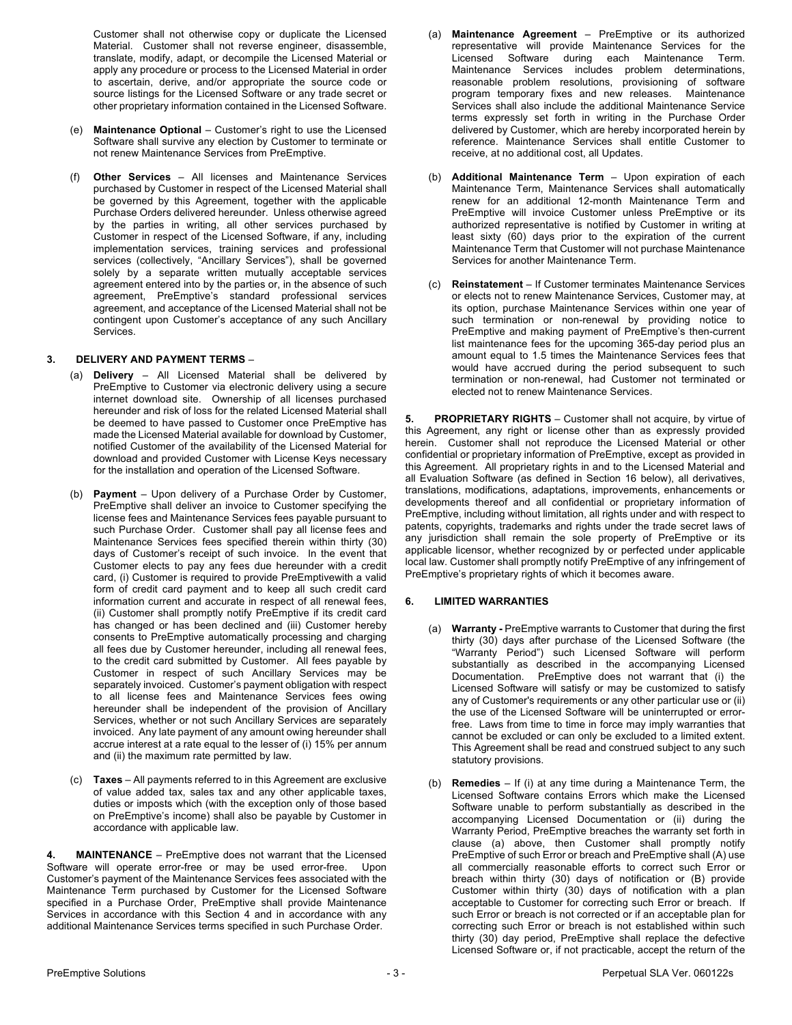Customer shall not otherwise copy or duplicate the Licensed Material. Customer shall not reverse engineer, disassemble, translate, modify, adapt, or decompile the Licensed Material or apply any procedure or process to the Licensed Material in order to ascertain, derive, and/or appropriate the source code or source listings for the Licensed Software or any trade secret or other proprietary information contained in the Licensed Software.

- (e) **Maintenance Optional** Customer's right to use the Licensed Software shall survive any election by Customer to terminate or not renew Maintenance Services from PreEmptive.
- (f) **Other Services**  All licenses and Maintenance Services purchased by Customer in respect of the Licensed Material shall be governed by this Agreement, together with the applicable Purchase Orders delivered hereunder. Unless otherwise agreed by the parties in writing, all other services purchased by Customer in respect of the Licensed Software, if any, including implementation services, training services and professional services (collectively, "Ancillary Services"), shall be governed solely by a separate written mutually acceptable services agreement entered into by the parties or, in the absence of such agreement, PreEmptive's standard professional services agreement, and acceptance of the Licensed Material shall not be contingent upon Customer's acceptance of any such Ancillary Services.

### **3. DELIVERY AND PAYMENT TERMS** –

- (a) **Delivery** All Licensed Material shall be delivered by PreEmptive to Customer via electronic delivery using a secure internet download site. Ownership of all licenses purchased hereunder and risk of loss for the related Licensed Material shall be deemed to have passed to Customer once PreEmptive has made the Licensed Material available for download by Customer, notified Customer of the availability of the Licensed Material for download and provided Customer with License Keys necessary for the installation and operation of the Licensed Software.
- (b) **Payment** Upon delivery of a Purchase Order by Customer, PreEmptive shall deliver an invoice to Customer specifying the license fees and Maintenance Services fees payable pursuant to such Purchase Order. Customer shall pay all license fees and Maintenance Services fees specified therein within thirty (30) days of Customer's receipt of such invoice. In the event that Customer elects to pay any fees due hereunder with a credit card, (i) Customer is required to provide PreEmptivewith a valid form of credit card payment and to keep all such credit card information current and accurate in respect of all renewal fees, (ii) Customer shall promptly notify PreEmptive if its credit card has changed or has been declined and (iii) Customer hereby consents to PreEmptive automatically processing and charging all fees due by Customer hereunder, including all renewal fees, to the credit card submitted by Customer. All fees payable by Customer in respect of such Ancillary Services may be separately invoiced. Customer's payment obligation with respect to all license fees and Maintenance Services fees owing hereunder shall be independent of the provision of Ancillary Services, whether or not such Ancillary Services are separately invoiced. Any late payment of any amount owing hereunder shall accrue interest at a rate equal to the lesser of (i) 15% per annum and (ii) the maximum rate permitted by law.
- (c) **Taxes** All payments referred to in this Agreement are exclusive of value added tax, sales tax and any other applicable taxes, duties or imposts which (with the exception only of those based on PreEmptive's income) shall also be payable by Customer in accordance with applicable law.

**4. MAINTENANCE** – PreEmptive does not warrant that the Licensed Software will operate error-free or may be used error-free. Upon Customer's payment of the Maintenance Services fees associated with the Maintenance Term purchased by Customer for the Licensed Software specified in a Purchase Order, PreEmptive shall provide Maintenance Services in accordance with this Section 4 and in accordance with any additional Maintenance Services terms specified in such Purchase Order.

- (a) **Maintenance Agreement** PreEmptive or its authorized representative will provide Maintenance Services for the Licensed Software during each Maintenance Term. Maintenance Services includes problem determinations, reasonable problem resolutions, provisioning of software program temporary fixes and new releases. Maintenance Services shall also include the additional Maintenance Service terms expressly set forth in writing in the Purchase Order delivered by Customer, which are hereby incorporated herein by reference. Maintenance Services shall entitle Customer to receive, at no additional cost, all Updates.
- (b) **Additional Maintenance Term** Upon expiration of each Maintenance Term, Maintenance Services shall automatically renew for an additional 12-month Maintenance Term and PreEmptive will invoice Customer unless PreEmptive or its authorized representative is notified by Customer in writing at least sixty (60) days prior to the expiration of the current Maintenance Term that Customer will not purchase Maintenance Services for another Maintenance Term.
- (c) **Reinstatement** If Customer terminates Maintenance Services or elects not to renew Maintenance Services, Customer may, at its option, purchase Maintenance Services within one year of such termination or non-renewal by providing notice to PreEmptive and making payment of PreEmptive's then-current list maintenance fees for the upcoming 365-day period plus an amount equal to 1.5 times the Maintenance Services fees that would have accrued during the period subsequent to such termination or non-renewal, had Customer not terminated or elected not to renew Maintenance Services.

**5. PROPRIETARY RIGHTS** – Customer shall not acquire, by virtue of this Agreement, any right or license other than as expressly provided herein. Customer shall not reproduce the Licensed Material or other confidential or proprietary information of PreEmptive, except as provided in this Agreement. All proprietary rights in and to the Licensed Material and all Evaluation Software (as defined in Section 16 below), all derivatives, translations, modifications, adaptations, improvements, enhancements or developments thereof and all confidential or proprietary information of PreEmptive, including without limitation, all rights under and with respect to patents, copyrights, trademarks and rights under the trade secret laws of any jurisdiction shall remain the sole property of PreEmptive or its applicable licensor, whether recognized by or perfected under applicable local law. Customer shall promptly notify PreEmptive of any infringement of PreEmptive's proprietary rights of which it becomes aware.

#### **6. LIMITED WARRANTIES**

- (a) **Warranty -** PreEmptive warrants to Customer that during the first thirty (30) days after purchase of the Licensed Software (the "Warranty Period") such Licensed Software will perform substantially as described in the accompanying Licensed Documentation. PreEmptive does not warrant that (i) the Licensed Software will satisfy or may be customized to satisfy any of Customer's requirements or any other particular use or (ii) the use of the Licensed Software will be uninterrupted or errorfree. Laws from time to time in force may imply warranties that cannot be excluded or can only be excluded to a limited extent. This Agreement shall be read and construed subject to any such statutory provisions.
- (b) **Remedies**  If (i) at any time during a Maintenance Term, the Licensed Software contains Errors which make the Licensed Software unable to perform substantially as described in the accompanying Licensed Documentation or (ii) during the Warranty Period, PreEmptive breaches the warranty set forth in clause (a) above, then Customer shall promptly notify PreEmptive of such Error or breach and PreEmptive shall (A) use all commercially reasonable efforts to correct such Error or breach within thirty (30) days of notification or (B) provide Customer within thirty (30) days of notification with a plan acceptable to Customer for correcting such Error or breach. If such Error or breach is not corrected or if an acceptable plan for correcting such Error or breach is not established within such thirty (30) day period, PreEmptive shall replace the defective Licensed Software or, if not practicable, accept the return of the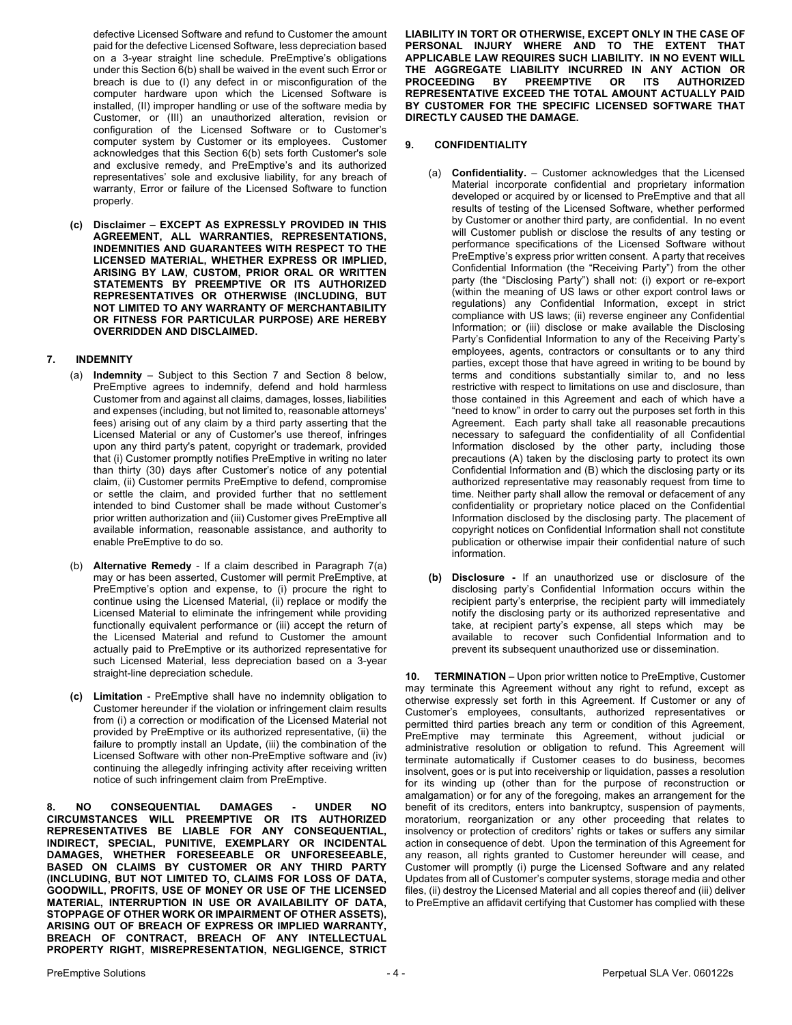defective Licensed Software and refund to Customer the amount paid for the defective Licensed Software, less depreciation based on a 3-year straight line schedule. PreEmptive's obligations under this Section 6(b) shall be waived in the event such Error or breach is due to (I) any defect in or misconfiguration of the computer hardware upon which the Licensed Software is installed, (II) improper handling or use of the software media by Customer, or (III) an unauthorized alteration, revision or configuration of the Licensed Software or to Customer's computer system by Customer or its employees. Customer acknowledges that this Section 6(b) sets forth Customer's sole and exclusive remedy, and PreEmptive's and its authorized representatives' sole and exclusive liability, for any breach of warranty, Error or failure of the Licensed Software to function properly.

**(c) Disclaimer – EXCEPT AS EXPRESSLY PROVIDED IN THIS AGREEMENT, ALL WARRANTIES, REPRESENTATIONS, INDEMNITIES AND GUARANTEES WITH RESPECT TO THE LICENSED MATERIAL, WHETHER EXPRESS OR IMPLIED, ARISING BY LAW, CUSTOM, PRIOR ORAL OR WRITTEN STATEMENTS BY PREEMPTIVE OR ITS AUTHORIZED REPRESENTATIVES OR OTHERWISE (INCLUDING, BUT NOT LIMITED TO ANY WARRANTY OF MERCHANTABILITY OR FITNESS FOR PARTICULAR PURPOSE) ARE HEREBY OVERRIDDEN AND DISCLAIMED.**

#### **7. INDEMNITY**

- (a) **Indemnity** Subject to this Section 7 and Section 8 below, PreEmptive agrees to indemnify, defend and hold harmless Customer from and against all claims, damages, losses, liabilities and expenses (including, but not limited to, reasonable attorneys' fees) arising out of any claim by a third party asserting that the Licensed Material or any of Customer's use thereof, infringes upon any third party's patent, copyright or trademark, provided that (i) Customer promptly notifies PreEmptive in writing no later than thirty (30) days after Customer's notice of any potential claim, (ii) Customer permits PreEmptive to defend, compromise or settle the claim, and provided further that no settlement intended to bind Customer shall be made without Customer's prior written authorization and (iii) Customer gives PreEmptive all available information, reasonable assistance, and authority to enable PreEmptive to do so.
- (b) **Alternative Remedy** If a claim described in Paragraph 7(a) may or has been asserted, Customer will permit PreEmptive, at PreEmptive's option and expense, to (i) procure the right to continue using the Licensed Material, (ii) replace or modify the Licensed Material to eliminate the infringement while providing functionally equivalent performance or (iii) accept the return of the Licensed Material and refund to Customer the amount actually paid to PreEmptive or its authorized representative for such Licensed Material, less depreciation based on a 3-year straight-line depreciation schedule.
- **(c) Limitation** PreEmptive shall have no indemnity obligation to Customer hereunder if the violation or infringement claim results from (i) a correction or modification of the Licensed Material not provided by PreEmptive or its authorized representative, (ii) the failure to promptly install an Update, (iii) the combination of the Licensed Software with other non-PreEmptive software and (iv) continuing the allegedly infringing activity after receiving written notice of such infringement claim from PreEmptive.

**8. NO CONSEQUENTIAL DAMAGES - UNDER NO CIRCUMSTANCES WILL PREEMPTIVE OR ITS AUTHORIZED REPRESENTATIVES BE LIABLE FOR ANY CONSEQUENTIAL, INDIRECT, SPECIAL, PUNITIVE, EXEMPLARY OR INCIDENTAL DAMAGES, WHETHER FORESEEABLE OR UNFORESEEABLE, BASED ON CLAIMS BY CUSTOMER OR ANY THIRD PARTY (INCLUDING, BUT NOT LIMITED TO, CLAIMS FOR LOSS OF DATA, GOODWILL, PROFITS, USE OF MONEY OR USE OF THE LICENSED MATERIAL, INTERRUPTION IN USE OR AVAILABILITY OF DATA, STOPPAGE OF OTHER WORK OR IMPAIRMENT OF OTHER ASSETS), ARISING OUT OF BREACH OF EXPRESS OR IMPLIED WARRANTY, BREACH OF CONTRACT, BREACH OF ANY INTELLECTUAL PROPERTY RIGHT, MISREPRESENTATION, NEGLIGENCE, STRICT** 

**LIABILITY IN TORT OR OTHERWISE, EXCEPT ONLY IN THE CASE OF PERSONAL INJURY WHERE AND TO THE EXTENT THAT APPLICABLE LAW REQUIRES SUCH LIABILITY. IN NO EVENT WILL THE AGGREGATE LIABILITY INCURRED IN ANY ACTION OR PROCEEDING BY PREEMPTIVE OR ITS AUTHORIZED REPRESENTATIVE EXCEED THE TOTAL AMOUNT ACTUALLY PAID BY CUSTOMER FOR THE SPECIFIC LICENSED SOFTWARE THAT DIRECTLY CAUSED THE DAMAGE.**

## **9. CONFIDENTIALITY**

- (a) **Confidentiality.** Customer acknowledges that the Licensed Material incorporate confidential and proprietary information developed or acquired by or licensed to PreEmptive and that all results of testing of the Licensed Software, whether performed by Customer or another third party, are confidential. In no event will Customer publish or disclose the results of any testing or performance specifications of the Licensed Software without PreEmptive's express prior written consent. A party that receives Confidential Information (the "Receiving Party") from the other party (the "Disclosing Party") shall not: (i) export or re-export (within the meaning of US laws or other export control laws or regulations) any Confidential Information, except in strict compliance with US laws; (ii) reverse engineer any Confidential Information; or (iii) disclose or make available the Disclosing Party's Confidential Information to any of the Receiving Party's employees, agents, contractors or consultants or to any third parties, except those that have agreed in writing to be bound by terms and conditions substantially similar to, and no less restrictive with respect to limitations on use and disclosure, than those contained in this Agreement and each of which have a "need to know" in order to carry out the purposes set forth in this Agreement. Each party shall take all reasonable precautions necessary to safeguard the confidentiality of all Confidential Information disclosed by the other party, including those precautions (A) taken by the disclosing party to protect its own Confidential Information and (B) which the disclosing party or its authorized representative may reasonably request from time to time. Neither party shall allow the removal or defacement of any confidentiality or proprietary notice placed on the Confidential Information disclosed by the disclosing party. The placement of copyright notices on Confidential Information shall not constitute publication or otherwise impair their confidential nature of such information.
- **(b) Disclosure -** If an unauthorized use or disclosure of the disclosing party's Confidential Information occurs within the recipient party's enterprise, the recipient party will immediately notify the disclosing party or its authorized representative and take, at recipient party's expense, all steps which may be available to recover such Confidential Information and to prevent its subsequent unauthorized use or dissemination.

**10. TERMINATION** – Upon prior written notice to PreEmptive, Customer may terminate this Agreement without any right to refund, except as otherwise expressly set forth in this Agreement. If Customer or any of Customer's employees, consultants, authorized representatives or permitted third parties breach any term or condition of this Agreement, PreEmptive may terminate this Agreement, without judicial or administrative resolution or obligation to refund. This Agreement will terminate automatically if Customer ceases to do business, becomes insolvent, goes or is put into receivership or liquidation, passes a resolution for its winding up (other than for the purpose of reconstruction or amalgamation) or for any of the foregoing, makes an arrangement for the benefit of its creditors, enters into bankruptcy, suspension of payments, moratorium, reorganization or any other proceeding that relates to insolvency or protection of creditors' rights or takes or suffers any similar action in consequence of debt. Upon the termination of this Agreement for any reason, all rights granted to Customer hereunder will cease, and Customer will promptly (i) purge the Licensed Software and any related Updates from all of Customer's computer systems, storage media and other files, (ii) destroy the Licensed Material and all copies thereof and (iii) deliver to PreEmptive an affidavit certifying that Customer has complied with these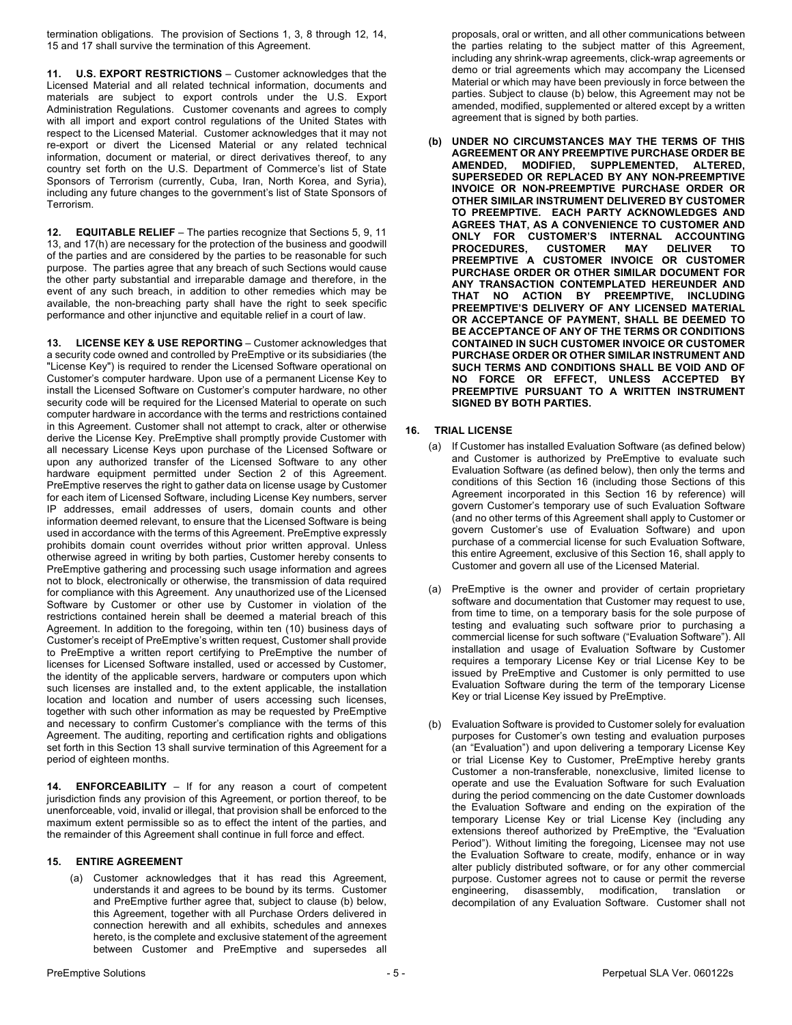termination obligations. The provision of Sections 1, 3, 8 through 12, 14, 15 and 17 shall survive the termination of this Agreement.

**11. U.S. EXPORT RESTRICTIONS** – Customer acknowledges that the Licensed Material and all related technical information, documents and materials are subject to export controls under the U.S. Export Administration Regulations. Customer covenants and agrees to comply with all import and export control regulations of the United States with respect to the Licensed Material. Customer acknowledges that it may not re-export or divert the Licensed Material or any related technical information, document or material, or direct derivatives thereof, to any country set forth on the U.S. Department of Commerce's list of State Sponsors of Terrorism (currently, Cuba, Iran, North Korea, and Syria), including any future changes to the government's list of State Sponsors of Terrorism.

**12. EQUITABLE RELIEF** – The parties recognize that Sections 5, 9, 11 13, and 17(h) are necessary for the protection of the business and goodwill of the parties and are considered by the parties to be reasonable for such purpose. The parties agree that any breach of such Sections would cause the other party substantial and irreparable damage and therefore, in the event of any such breach, in addition to other remedies which may be available, the non-breaching party shall have the right to seek specific performance and other injunctive and equitable relief in a court of law.

**13. LICENSE KEY & USE REPORTING** – Customer acknowledges that a security code owned and controlled by PreEmptive or its subsidiaries (the "License Key") is required to render the Licensed Software operational on Customer's computer hardware. Upon use of a permanent License Key to install the Licensed Software on Customer's computer hardware, no other security code will be required for the Licensed Material to operate on such computer hardware in accordance with the terms and restrictions contained in this Agreement. Customer shall not attempt to crack, alter or otherwise derive the License Key. PreEmptive shall promptly provide Customer with all necessary License Keys upon purchase of the Licensed Software or upon any authorized transfer of the Licensed Software to any other hardware equipment permitted under Section 2 of this Agreement. PreEmptive reserves the right to gather data on license usage by Customer for each item of Licensed Software, including License Key numbers, server IP addresses, email addresses of users, domain counts and other information deemed relevant, to ensure that the Licensed Software is being used in accordance with the terms of this Agreement. PreEmptive expressly prohibits domain count overrides without prior written approval. Unless otherwise agreed in writing by both parties, Customer hereby consents to PreEmptive gathering and processing such usage information and agrees not to block, electronically or otherwise, the transmission of data required for compliance with this Agreement. Any unauthorized use of the Licensed Software by Customer or other use by Customer in violation of the restrictions contained herein shall be deemed a material breach of this Agreement. In addition to the foregoing, within ten (10) business days of Customer's receipt of PreEmptive's written request, Customer shall provide to PreEmptive a written report certifying to PreEmptive the number of licenses for Licensed Software installed, used or accessed by Customer, the identity of the applicable servers, hardware or computers upon which such licenses are installed and, to the extent applicable, the installation location and location and number of users accessing such licenses, together with such other information as may be requested by PreEmptive and necessary to confirm Customer's compliance with the terms of this Agreement. The auditing, reporting and certification rights and obligations set forth in this Section 13 shall survive termination of this Agreement for a period of eighteen months.

**14. ENFORCEABILITY** – If for any reason a court of competent jurisdiction finds any provision of this Agreement, or portion thereof, to be unenforceable, void, invalid or illegal, that provision shall be enforced to the maximum extent permissible so as to effect the intent of the parties, and the remainder of this Agreement shall continue in full force and effect.

#### **15. ENTIRE AGREEMENT**

Customer acknowledges that it has read this Agreement, understands it and agrees to be bound by its terms. Customer and PreEmptive further agree that, subject to clause (b) below, this Agreement, together with all Purchase Orders delivered in connection herewith and all exhibits, schedules and annexes hereto, is the complete and exclusive statement of the agreement between Customer and PreEmptive and supersedes all

proposals, oral or written, and all other communications between the parties relating to the subject matter of this Agreement, including any shrink-wrap agreements, click-wrap agreements or demo or trial agreements which may accompany the Licensed Material or which may have been previously in force between the parties. Subject to clause (b) below, this Agreement may not be amended, modified, supplemented or altered except by a written agreement that is signed by both parties.

**(b) UNDER NO CIRCUMSTANCES MAY THE TERMS OF THIS AGREEMENT OR ANY PREEMPTIVE PURCHASE ORDER BE AMENDED, MODIFIED, SUPPLEMENTED, ALTERED, SUPERSEDED OR REPLACED BY ANY NON-PREEMPTIVE INVOICE OR NON-PREEMPTIVE PURCHASE ORDER OR OTHER SIMILAR INSTRUMENT DELIVERED BY CUSTOMER TO PREEMPTIVE. EACH PARTY ACKNOWLEDGES AND AGREES THAT, AS A CONVENIENCE TO CUSTOMER AND ONLY FOR CUSTOMER'S INTERNAL ACCOUNTING PROCEDURES, CUSTOMER MAY DELIVER TO PREEMPTIVE A CUSTOMER INVOICE OR CUSTOMER PURCHASE ORDER OR OTHER SIMILAR DOCUMENT FOR ANY TRANSACTION CONTEMPLATED HEREUNDER AND THAT NO ACTION BY PREEMPTIVE, INCLUDING PREEMPTIVE'S DELIVERY OF ANY LICENSED MATERIAL OR ACCEPTANCE OF PAYMENT, SHALL BE DEEMED TO BE ACCEPTANCE OF ANY OF THE TERMS OR CONDITIONS CONTAINED IN SUCH CUSTOMER INVOICE OR CUSTOMER PURCHASE ORDER OR OTHER SIMILAR INSTRUMENT AND SUCH TERMS AND CONDITIONS SHALL BE VOID AND OF NO FORCE OR EFFECT, UNLESS ACCEPTED BY PREEMPTIVE PURSUANT TO A WRITTEN INSTRUMENT SIGNED BY BOTH PARTIES.**

#### **16. TRIAL LICENSE**

- (a) If Customer has installed Evaluation Software (as defined below) and Customer is authorized by PreEmptive to evaluate such Evaluation Software (as defined below), then only the terms and conditions of this Section 16 (including those Sections of this Agreement incorporated in this Section 16 by reference) will govern Customer's temporary use of such Evaluation Software (and no other terms of this Agreement shall apply to Customer or govern Customer's use of Evaluation Software) and upon purchase of a commercial license for such Evaluation Software, this entire Agreement, exclusive of this Section 16, shall apply to Customer and govern all use of the Licensed Material.
- (a) PreEmptive is the owner and provider of certain proprietary software and documentation that Customer may request to use, from time to time, on a temporary basis for the sole purpose of testing and evaluating such software prior to purchasing a commercial license for such software ("Evaluation Software"). All installation and usage of Evaluation Software by Customer requires a temporary License Key or trial License Key to be issued by PreEmptive and Customer is only permitted to use Evaluation Software during the term of the temporary License Key or trial License Key issued by PreEmptive.
- (b) Evaluation Software is provided to Customer solely for evaluation purposes for Customer's own testing and evaluation purposes (an "Evaluation") and upon delivering a temporary License Key or trial License Key to Customer, PreEmptive hereby grants Customer a non-transferable, nonexclusive, limited license to operate and use the Evaluation Software for such Evaluation during the period commencing on the date Customer downloads the Evaluation Software and ending on the expiration of the temporary License Key or trial License Key (including any extensions thereof authorized by PreEmptive, the "Evaluation Period"). Without limiting the foregoing, Licensee may not use the Evaluation Software to create, modify, enhance or in way alter publicly distributed software, or for any other commercial purpose. Customer agrees not to cause or permit the reverse engineering, disassembly, modification, translation or decompilation of any Evaluation Software. Customer shall not